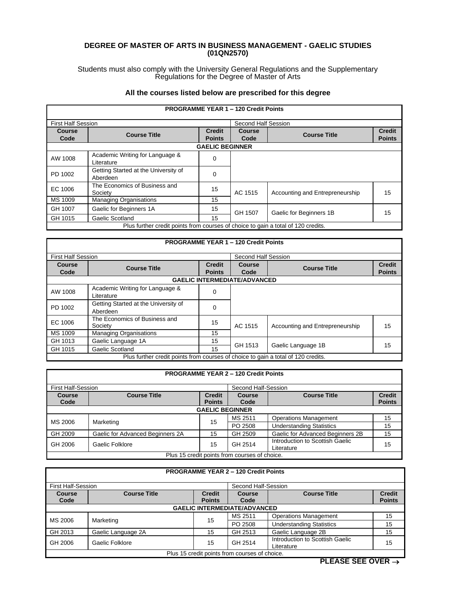## **DEGREE OF MASTER OF ARTS IN BUSINESS MANAGEMENT - GAELIC STUDIES (01QN2570)**

Students must also comply with the University General Regulations and the Supplementary Regulations for the Degree of Master of Arts

## **All the courses listed below are prescribed for this degree**

|                                                                                   |                                                  |                        | <b>PROGRAMME YEAR 1 - 120 Credit Points</b> |                                 |               |
|-----------------------------------------------------------------------------------|--------------------------------------------------|------------------------|---------------------------------------------|---------------------------------|---------------|
| <b>First Half Session</b>                                                         |                                                  |                        | Second Half Session                         |                                 |               |
| Course                                                                            | <b>Course Title</b>                              | <b>Credit</b>          | Course                                      | <b>Course Title</b>             | <b>Credit</b> |
| Code                                                                              |                                                  | <b>Points</b>          | Code                                        |                                 | <b>Points</b> |
|                                                                                   |                                                  | <b>GAELIC BEGINNER</b> |                                             |                                 |               |
| AW 1008                                                                           | Academic Writing for Language &<br>Literature    | 0                      |                                             |                                 |               |
| PD 1002                                                                           | Getting Started at the University of<br>Aberdeen | 0                      |                                             |                                 |               |
| EC 1006                                                                           | The Economics of Business and<br>Society         | 15                     | AC 1515                                     | Accounting and Entrepreneurship | 15            |
| MS 1009                                                                           | <b>Managing Organisations</b>                    | 15                     |                                             |                                 |               |
| GH 1007                                                                           | Gaelic for Beginners 1A                          | 15                     | GH 1507                                     | Gaelic for Beginners 1B         | 15            |
| GH 1015                                                                           | Gaelic Scotland                                  | 15                     |                                             |                                 |               |
| Plus further credit points from courses of choice to gain a total of 120 credits. |                                                  |                        |                                             |                                 |               |

|                           |                                                                                   |               | <b>PROGRAMME YEAR 1 - 120 Credit Points</b> |                                 |               |  |  |
|---------------------------|-----------------------------------------------------------------------------------|---------------|---------------------------------------------|---------------------------------|---------------|--|--|
| <b>First Half Session</b> |                                                                                   |               | Second Half Session                         |                                 |               |  |  |
| Course                    | <b>Course Title</b>                                                               | <b>Credit</b> | Course                                      | <b>Course Title</b>             | <b>Credit</b> |  |  |
| Code                      |                                                                                   | <b>Points</b> | Code                                        |                                 | <b>Points</b> |  |  |
|                           | <b>GAELIC INTERMEDIATE/ADVANCED</b>                                               |               |                                             |                                 |               |  |  |
| AW 1008                   | Academic Writing for Language &<br>Literature                                     | $\Omega$      |                                             |                                 |               |  |  |
| PD 1002                   | Getting Started at the University of<br>Aberdeen                                  | $\Omega$      |                                             |                                 |               |  |  |
| EC 1006                   | The Economics of Business and<br>Society                                          | 15            | AC 1515                                     | Accounting and Entrepreneurship | 15            |  |  |
| MS 1009                   | <b>Managing Organisations</b>                                                     | 15            |                                             |                                 |               |  |  |
| GH 1013                   | Gaelic Language 1A                                                                | 15            | GH 1513                                     | Gaelic Language 1B              | 15            |  |  |
| GH 1015                   | Gaelic Scotland                                                                   | 15            |                                             |                                 |               |  |  |
|                           | Plus further credit points from courses of choice to gain a total of 120 credits. |               |                                             |                                 |               |  |  |

|                                               |                                  |                                | <b>PROGRAMME YEAR 2 - 120 Credit Points</b> |                                               |                                |
|-----------------------------------------------|----------------------------------|--------------------------------|---------------------------------------------|-----------------------------------------------|--------------------------------|
| <b>First Half-Session</b>                     |                                  |                                | Second Half-Session                         |                                               |                                |
| <b>Course</b><br>Code                         | <b>Course Title</b>              | <b>Credit</b><br><b>Points</b> | <b>Course</b><br>Code                       | <b>Course Title</b>                           | <b>Credit</b><br><b>Points</b> |
|                                               |                                  | <b>GAELIC BEGINNER</b>         |                                             |                                               |                                |
| MS 2006                                       |                                  | 15                             | MS 2511                                     | <b>Operations Management</b>                  | 15                             |
|                                               | Marketing                        |                                | PO 2508                                     | <b>Understanding Statistics</b>               | 15                             |
| GH 2009                                       | Gaelic for Advanced Beginners 2A | 15                             | GH 2509                                     | Gaelic for Advanced Beginners 2B              | 15                             |
| GH 2006                                       | Gaelic Folklore                  | 15                             | GH 2514                                     | Introduction to Scottish Gaelic<br>Literature | 15                             |
| Plus 15 credit points from courses of choice. |                                  |                                |                                             |                                               |                                |

|               |                                                  | <b>PROGRAMME YEAR 2 - 120 Credit Points</b>   |         |                                 |               |  |
|---------------|--------------------------------------------------|-----------------------------------------------|---------|---------------------------------|---------------|--|
|               | <b>First Half-Session</b><br>Second Half-Session |                                               |         |                                 |               |  |
| <b>Course</b> | <b>Course Title</b>                              | <b>Credit</b>                                 | Course  | <b>Course Title</b>             | <b>Credit</b> |  |
| Code          |                                                  | <b>Points</b>                                 | Code    |                                 | <b>Points</b> |  |
|               | <b>GAELIC INTERMEDIATE/ADVANCED</b>              |                                               |         |                                 |               |  |
|               |                                                  | 15                                            | MS 2511 | <b>Operations Management</b>    | 15            |  |
| MS 2006       | Marketing                                        |                                               | PO 2508 | <b>Understanding Statistics</b> | 15            |  |
| GH 2013       | Gaelic Language 2A                               | 15                                            | GH 2513 | Gaelic Language 2B              | 15            |  |
| GH 2006       | Gaelic Folklore                                  | 15                                            | GH 2514 | Introduction to Scottish Gaelic | 15            |  |
|               |                                                  |                                               |         | Literature                      |               |  |
|               |                                                  | Plus 15 credit points from courses of choice. |         |                                 |               |  |